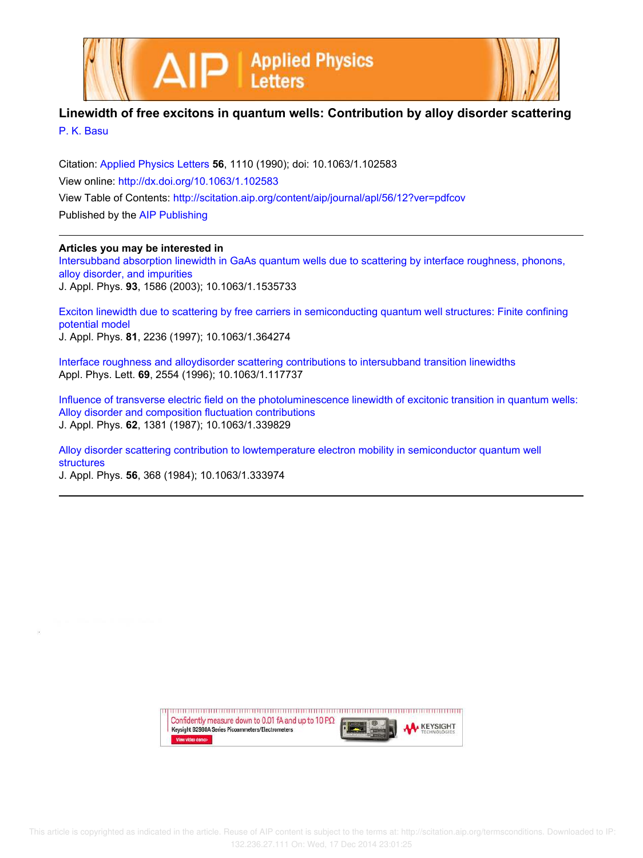



## **Linewidth of free excitons in quantum wells: Contribution by alloy disorder scattering** P. K. Basu

Citation: Applied Physics Letters **56**, 1110 (1990); doi: 10.1063/1.102583 View online: http://dx.doi.org/10.1063/1.102583 View Table of Contents: http://scitation.aip.org/content/aip/journal/apl/56/12?ver=pdfcov Published by the AIP Publishing

## **Articles you may be interested in**

Intersubband absorption linewidth in GaAs quantum wells due to scattering by interface roughness, phonons, alloy disorder, and impurities J. Appl. Phys. **93**, 1586 (2003); 10.1063/1.1535733

Exciton linewidth due to scattering by free carriers in semiconducting quantum well structures: Finite confining potential model J. Appl. Phys. **81**, 2236 (1997); 10.1063/1.364274

Interface roughness and alloydisorder scattering contributions to intersubband transition linewidths Appl. Phys. Lett. **69**, 2554 (1996); 10.1063/1.117737

Influence of transverse electric field on the photoluminescence linewidth of excitonic transition in quantum wells: Alloy disorder and composition fluctuation contributions J. Appl. Phys. **62**, 1381 (1987); 10.1063/1.339829

Alloy disorder scattering contribution to lowtemperature electron mobility in semiconductor quantum well structures

J. Appl. Phys. **56**, 368 (1984); 10.1063/1.333974

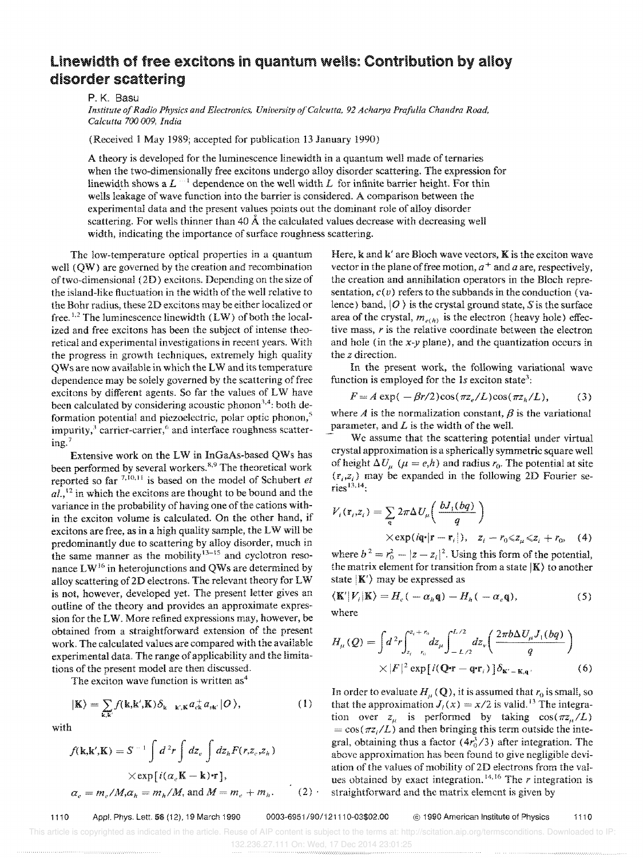## Linewidth of free excitons in quantum wells: Contribution by alloy disorder scattering

P. K. 8asu

*Institute of Radio Physics and Electronics, University a/Calcutta.* 92 *Acharya Prafulla Chandra Road, Calcutta 700 009, India* 

(Received 1 May 1989; accepted for publication 13 January 1990)

A theory is developed for the luminescence linewidth in a quantum well made of ternaries when the two-dimensionally free excitons undergo alloy disorder scattering. The expression for linewidth shows a  $L^{-1}$  dependence on the well width  $L$  for infinite barrier height. For thin wells leakage of wave function into the barrier is considered. A comparison between the experimental data and the present values points out the dominant role of alloy disorder scattering. For wells thinner than  $40 \text{ Å}$  the calculated values decrease with decreasing well width, indicating the importance of surface roughness scattering.

The low-temperature optical properties in a quantum well (QW) are governed by the creation and recombination of two-dimensional (2D) excitons. Depending on the size of the island-like fluctuation in the width of the well relative to the Bohr radius, these 20 excitons may be either localized or free.<sup>1,2</sup> The luminescence linewidth  $(LW)$  of both the localized and free excitons has been the subject of intense theoretical and experimental investigations in recent years. With the progress in growth techniques, extremely high quality QWs are now available in which the LW and its temperature dependence may be solely governed by the scattering of free excitons by different agents. So far the values of LW have been calculated by considering acoustic phonon<sup>3,4</sup>: both deformation potential and piezoelectric, polar optic phonon,<sup>5</sup> impurity,<sup>3</sup> carrier-carrier,<sup>6</sup> and interface roughness scattering. <sup>7</sup>

Extensive work on the LW in InGaAs-based QWs has been performed by several workers.<sup>8,9</sup> The theoretical work reported so far <sup>7,10,11</sup> is based on the model of Schubert *et ai.,12* in which the excitons are thought to be bound and the variance in the probability of having one of the cations within the exciton volume is calculated. On the other hand, if excitons are free, as in a high quality sample, the LW will be predominantly due to scattering by alloy disorder, much in the same manner as the mobility  $13-15$  and cyclotron resonance LW<sup>16</sup> in heterojunctions and QWs are determined by alloy scattering of2D electrons. The relevant theory for LW is not, however, developed yet. The present letter gives an outline of the theory and provides an approximate expression for the LW. More refined expressions may, however, be obtained from a straightforward extension of the present work. The calculated values are compared with the available experimental data. The range of applicability and the limitations of the present model are then discussed.

The exciton wave function is written as<sup>4</sup>

$$
|\mathbf{K}\rangle = \sum_{\mathbf{k},\mathbf{k}'} f(\mathbf{k},\mathbf{k}',\mathbf{K}) \delta_{\mathbf{k}-\mathbf{k}',\mathbf{K}} a_{\mathbf{c}\mathbf{k}}^+ a_{\mathbf{c}\mathbf{k}'} |O\rangle, \tag{1}
$$

with

$$
f(\mathbf{k}, \mathbf{k}', \mathbf{K}) = S^{-1} \int d^2r \int dz_e \int dz_h F(r, z_e, z_h)
$$
  
 
$$
\times \exp[i(\alpha_e \mathbf{K} - \mathbf{k}) \cdot \mathbf{r}],
$$
  
\n
$$
\alpha_e = m_e / M, \alpha_h = m_h / M, \text{ and } M = m_e + m_h.
$$
 (2)

Here,  $k$  and  $k'$  are Bloch wave vectors,  $K$  is the exciton wave vector in the plane of free motion,  $a^+$  and  $a$  are, respectively, the creation and annihilation operators in the Bloch representation,  $c(v)$  refers to the subbands in the conduction (valence) band,  $|O\rangle$  is the crystal ground state, S is the surface area of the crystal,  $m_{e(h)}$  is the electron (heavy hole) effective mass, *r* is the relative coordinate between the electron and hole (in the *x-y* plane), and the quantization occurs in the *z* direction.

In the present work, the following variational wave function is employed for the  $1s$  exciton state<sup>3</sup>:

$$
F = A \exp(-\beta r/2) \cos(\pi z_e/L) \cos(\pi z_h/L), \tag{3}
$$

where  $A$  is the normalization constant,  $\beta$  is the variational parameter, and *L* is the width of the well.

We assume that the scattering potential under virtual crystal approximation is a spherically symmetric square well of height  $\Delta U_{\mu}$  ( $\mu = e, h$ ) and radius  $r_0$ . The potential at site  $(r_i, z_i)$  may be expanded in the following 2D Fourier se $r$ ies $^{13,14}$ :

$$
V_i(\mathbf{r}_i, z_i) = \sum_{\mathbf{q}} 2\pi \Delta U_{\mu} \left( \frac{bJ_1(bq)}{q} \right)
$$
  
× $\exp(i\mathbf{q} \cdot |\mathbf{r} - \mathbf{r}_i|), \quad z_i - r_0 \le z_{\mu} \le z_i + r_0,$  (4)

where  $b^2 = r_0^2 - |z - z_i|^2$ . Using this form of the potential, the matrix element for transition from a state  $|K\rangle$  to another state  $|K'\rangle$  may be expressed as

$$
\langle \mathbf{K}'|V_i|\mathbf{K}\rangle = H_e(-\alpha_h \mathbf{q}) - H_h(-\alpha_e \mathbf{q}),\tag{5}
$$

where

$$
H_{\mu}(Q) = \int d^2 r \int_{z_i - r_0}^{z_i + r_0} dz_{\mu} \int_{-L/2}^{L/2} dz_{\nu} \left( \frac{2\pi b \Delta U_{\mu} J_1(bq)}{q} \right)
$$
  
 
$$
\times |F|^2 \exp[i(\mathbf{Q} \cdot \mathbf{r} - \mathbf{q} \cdot \mathbf{r}_i)] \delta_{\mathbf{K}' - \mathbf{K}, \mathbf{q}}.
$$
 (6)

In order to evaluate  $H_\mu(Q)$ , it is assumed that  $r_0$  is small, so that the approximation  $J_i(x) = x/2$  is valid.<sup>13</sup> The integration over  $z_a$  is performed by taking  $cos(\pi z_a/L)$  $= cos(\pi z_i/L)$  and then bringing this term outside the integral, obtaining thus a factor  $(4r_0^3/3)$  after integration. The above approximation has been found to give negligible deviation of the values of mobility of 2D electrons from the values obtained by exact integration. 14,16 The *r* integration is *a e e e e e straightforward and the matrix element is given by* 

1110 Appl. Phys. Lett. 56 (12), 19 March 1990 *0003-6951/90/121110-03\$02.00* @ 1990 American Institute of Physics 1110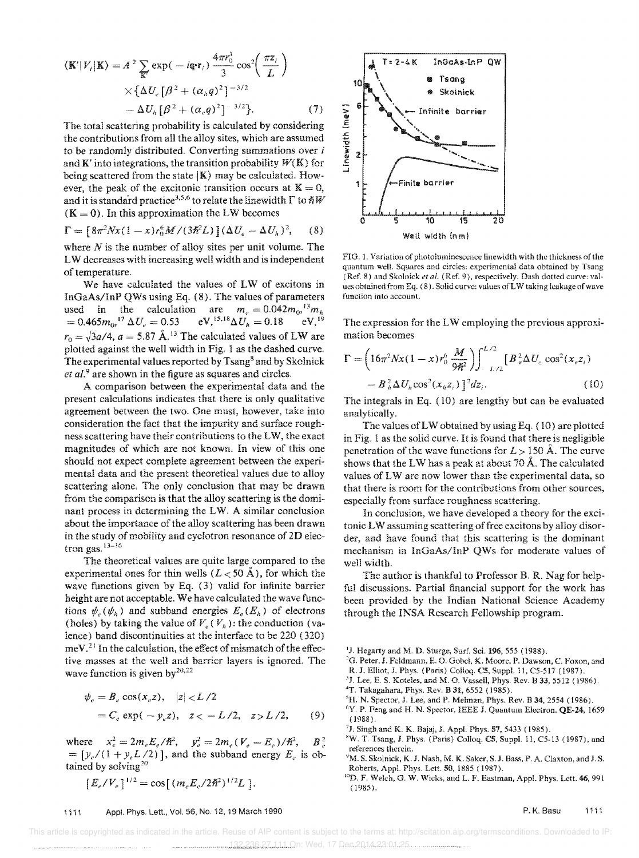$$
\langle \mathbf{K}'|V_i|\mathbf{K}\rangle = A^2 \sum_{\mathbf{K}'} \exp(-i\mathbf{q} \cdot \mathbf{r}_i) \frac{4\pi r_0^3}{3} \cos^2\left(\frac{\pi z_i}{L}\right)
$$
  
 
$$
\times \{\Delta U_c [\beta^2 + (\alpha_n q)^2]^{-3/2}
$$
  
- 
$$
\Delta U_h [\beta^2 + (\alpha_e q)^2]^{-3/2}\}.
$$
 (7)

The total scattering probability is calculated by considering the contributions from all the alloy sites, which are assumed to be randomly distributed. Converting summations over *i*  and  $K'$  into integrations, the transition probability  $W(K)$  for being scattered from the state  $|K\rangle$  may be calculated. However, the peak of the excitonic transition occurs at  $K = 0$ , and it is standard practice<sup>3,5,6</sup> to relate the linewidth  $\Gamma$  to  $\hbar W$  $(K = 0)$ . In this approximation the LW becomes

$$
\Gamma = [8\pi^2 N x (1 - x) r_0^6 M / (3\pi^2 L)] (\Delta U_e - \Delta U_h)^2, \quad (8)
$$

where *N* is the number of alloy sites per unit volume. The L W decreases with increasing well width and is independent of temperature.

We have calculated the values of LW of excitons in InGaAs/lnP QWs using Eq. (8). The values of parameters used in the calculation are  $m_e = 0.042 m_0 r^3 m_h$  $=0.465m_0$ <sup>17</sup>  $\Delta U_e = 0.53$  eV,<sup>15,18</sup> $\Delta U_h = 0.18$  eV,<sup>19</sup>  $r_0 = \sqrt{3}a/4$ ,  $a = 5.87 \text{ Å}$ .<sup>13</sup> The calculated values of LW are plotted against the well width in Fig. I as the dashed curve. The experimental values reported by Tsang<sup>8</sup> and by Skolnick *et al.<sup>9</sup>*are shown in the figure as squares and circles.

A comparison between the experimental data and the present calculations indicates that there is only qualitative agreement between the two. One must, however, take into consideration the fact that the impurity and surface roughness scattering have their contributions to the LW, the exact magnitudes of which are not known. In view of this one should not expect complete agreement between the experimental data and the present theoretical values due to alloy scattering alone. The only conclusion that may be drawn from the comparison is that the alloy scattering is the dominant process in determining the LW. A similar conclusion about the importance of the alloy scattering has been drawn in the study of mobility and cyclotron resonance of 2D electron gas. $13-16$ 

The theoretical values are quite large compared to the experimental ones for thin wells  $(L < 50 \text{ Å})$ , for which the wave functions given by Eq. (3) valid for infinite barrier height are not acceptable. We have calculated the wave functions  $\psi_e(\psi_h)$  and subband energies  $E_e(E_h)$  of electrons (holes) by taking the value of  $V_e(V_h)$ : the conduction (valence) band discontinuities at the interface to be 220 (320)  $meV<sup>21</sup>$  In the calculation, the effect of mismatch of the effective masses at the well and barrier layers is ignored. The wave function is given by $2^{0,22}$ 

$$
\psi_e = B_e \cos(x_e z), \quad |z| < L/2
$$
\n
$$
= C_e \exp(-y_e z), \quad z < -L/2, \quad z > L/2, \quad (9)
$$

where  $x_e^2 = 2m_eE_e/\hbar^2$ ,  $y_e^2 = 2m_e(V_e - E_e)/\hbar^2$ ,  $B_e^2$  $= [y_e/(1 + y_e L/2)]$ , and the subband energy  $E_e$  is obtained by solving<sup>20</sup>

$$
[E_c/V_e]^{1/2} = \cos[(m_e E_e/2\hbar^2)^{1/2}L].
$$



FIG. 1. Variation of photoluminescence linewidth with the thickness of the quantum well. Squares and circles: experimental data obtained by Tsang (Ref. 8) and Skolnick *et al.* (Ref, 9), respectively. Dash dotted curve: values obtained from Eq. (8). Solid curve: values ofLW taking leakage of wave function into account.

The expression for the LW employing the previous approximation becomes

$$
\Gamma = \left(16\pi^2 N x (1 - x) r_0^6 \frac{M}{9\hbar^2}\right) \int_{-L/2}^{L/2} \left[B_e^2 \Delta U_e \cos^2(x_e z_i) - B_h^2 \Delta U_h \cos^2(x_h z_i)\right]^{2} dz_i.
$$
\n(10)

The integrals in Eq. (10) are lengthy but can be evaluated analytically.

The values ofLW obtained by using Eg. (10) are plotted in Fig. 1 as the solid curve. It is found that there is negligible penetration of the wave functions for  $L > 150$  Å. The curve shows that the LW has a peak at about 70 Å. The calculated values of LW are now lower than the experimental data, so that there is room for the contributions from other sources, especially from surface roughness scattering,

In conclusion, we have developed a theory for the excitonic LW assuming scattering of free excitons by alloy disorder, and have found that this scattering is the dominant mechanism in InGaAs/InP QWs for moderate values of well width.

The author is thankful to Professor B. R. Nag for helpful discussions. Partial financial support for the work has been provided by the Indian National Science Academy through the INSA Research Fellowship program.

'J. Hegarty and M. D. Sturge, Surf. Sci. 196, 555 (1988).

- 'G. Peter, J. Feldmann, E. O. Gobel. K. Moore, P. Dawson, C. Foxon, and
- R.I. Elliot, J. Phys. (Paris) Colloq. C5, Suppl. 11, C5-517 (1987).
- $3$ J. Lee, E. S. Koteles, and M. O. Vassell, Phys. Rev. B 33, 5512 (1986).
- 4T. Takagahara, Phys. Rev. B 31, 6552 (1985).
- ${}^{5}$ H. N. Spector, J. Lee, and P. Melman, Phys. Rev. B 34, 2554 (1986).
- <sup>6</sup>Y. P. Feng and H. N. Spector, IEEE J. Quantum Electron. QE-24, 1659 (1988).
- 71. Singh and K. K. Bajaj, J. App!. Phys. 57, 5433 (1985).

## 1 i 11 Appl. Phys. Lett., Vol. 56, No. 12, 19 March 1990

 This article is copyrighted as indicated in the article. Reuse of AIP content is subject to the terms at: http://scitation.aip.org/termsconditions. Downloaded to IP: 132.236.27.111 On: Wed, 17 Dec 2014 23:01:25

<sup>&</sup>lt;sup>8</sup>W. T. Tsang, J. Phys. (Paris) Colloq. C5, Suppl. 11, C5-13 (1987), and references therein.

<sup>&</sup>lt;sup>9</sup>M. S. Skolnick, K. J. Nash, M. K. Saker, S. J. Bass, P. A. Claxton, and J. S. Roberts, AppL Phys. Lett. 50,1885 (1987).

I<'D. F. Welch, G. W. Wicks, and L. F. Eastman, AppL Phys. Lett. 46, 991 (1985).